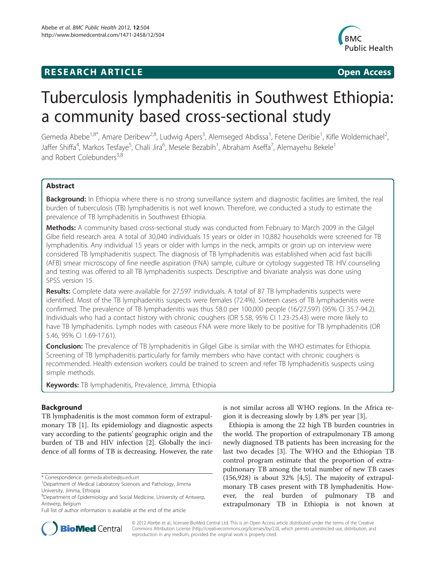# **RESEARCH ARTICLE Example 2018 12:00 Department of the CONNECTION CONNECTION CONNECTION CONNECTION**



# Tuberculosis lymphadenitis in Southwest Ethiopia: a community based cross-sectional study

Gemeda Abebe<sup>1,8\*</sup>, Amare Deribew<sup>2,8</sup>, Ludwig Apers<sup>3</sup>, Alemseged Abdissa<sup>1</sup>, Fetene Deribie<sup>1</sup>, Kifle Woldemichael<sup>2</sup> , Jaffer Shiffa<sup>4</sup>, Markos Tesfaye<sup>5</sup>, Chali Jira<sup>6</sup>, Mesele Bezabih<sup>1</sup>, Abraham Aseffa<sup>7</sup>, Alemayehu Bekele<sup>1</sup> and Robert Colebunders<sup>3,8</sup>

# Abstract

**Background:** In Ethiopia where there is no strong surveillance system and diagnostic facilities are limited, the real burden of tuberculosis (TB) lymphadenitis is not well known. Therefore, we conducted a study to estimate the prevalence of TB lymphadenitis in Southwest Ethiopia.

Methods: A community based cross-sectional study was conducted from February to March 2009 in the Gilgel Gibe field research area. A total of 30,040 individuals 15 years or older in 10,882 households were screened for TB lymphadenitis. Any individual 15 years or older with lumps in the neck, armpits or groin up on interview were considered TB lymphadenitis suspect. The diagnosis of TB lymphadenitis was established when acid fast bacilli (AFB) smear microscopy of fine needle aspiration (FNA) sample, culture or cytology suggested TB. HIV counseling and testing was offered to all TB lymphadenitis suspects. Descriptive and bivariate analysis was done using SPSS version 15.

Results: Complete data were available for 27,597 individuals. A total of 87 TB lymphadenitis suspects were identified. Most of the TB lymphadenitis suspects were females (72.4%). Sixteen cases of TB lymphadenitis were confirmed. The prevalence of TB lymphadenitis was thus 58.0 per 100,000 people (16/27,597) (95% CI 35.7-94.2). Individuals who had a contact history with chronic coughers (OR 5.58, 95% CI 1.23-25.43) were more likely to have TB lymphadenitis. Lymph nodes with caseous FNA were more likely to be positive for TB lymphadenitis (OR 5.46, 95% CI 1.69-17.61).

**Conclusion:** The prevalence of TB lymphadenitis in Gilgel Gibe is similar with the WHO estimates for Ethiopia. Screening of TB lymphadenitis particularly for family members who have contact with chronic coughers is recommended. Health extension workers could be trained to screen and refer TB lymphadenitis suspects using simple methods.

Keywords: TB lymphadenitis, Prevalence, Jimma, Ethiopia

# **Background**

TB lymphadenitis is the most common form of extrapulmonary TB [[1\]](#page-5-0). Its epidemiology and diagnostic aspects vary according to the patients' geographic origin and the burden of TB and HIV infection [[2\]](#page-5-0). Globally the incidence of all forms of TB is decreasing. However, the rate is not similar across all WHO regions. In the Africa region it is decreasing slowly by 1.8% per year [\[3](#page-5-0)].

Ethiopia is among the 22 high TB burden countries in the world. The proportion of extrapulmonary TB among newly diagnosed TB patients has been increasing for the last two decades [[3\]](#page-5-0). The WHO and the Ethiopian TB control program estimate that the proportion of extrapulmonary TB among the total number of new TB cases (156,928) is about 32% [\[4,5\]](#page-5-0). The majority of extrapulmonary TB cases present with TB lymphadenitis. However, the real burden of pulmonary TB and extrapulmonary TB in Ethiopia is not known at



© 2012 Abebe et al.; licensee BioMed Central Ltd. This is an Open Access article distributed under the terms of the Creative Commons Attribution License [\(http://creativecommons.org/licenses/by/2.0\)](http://creativecommons.org/licenses/by/2.0), which permits unrestricted use, distribution, and reproduction in any medium, provided the original work is properly cited.

<sup>\*</sup> Correspondence: [gemeda.abebe@ju.edu.et](mailto:gemeda.abebe@ju.edu.et) <sup>1</sup>

<sup>&</sup>lt;sup>1</sup>Department of Medical Laboratory Sciences and Pathology, Jimma University, Jimma, Ethiopia

<sup>8</sup> Department of Epidemiology and Social Medicine, University of Antwerp, Antwerp, Belgium

Full list of author information is available at the end of the article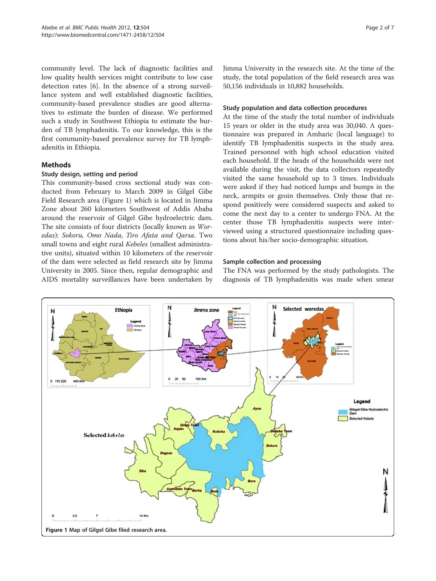community level. The lack of diagnostic facilities and low quality health services might contribute to low case detection rates [\[6](#page-5-0)]. In the absence of a strong surveillance system and well established diagnostic facilities, community-based prevalence studies are good alternatives to estimate the burden of disease. We performed such a study in Southwest Ethiopia to estimate the burden of TB lymphadenitis. To our knowledge, this is the first community-based prevalence survey for TB lymphadenitis in Ethiopia.

# Methods

## Study design, setting and period

This community-based cross sectional study was conducted from February to March 2009 in Gilgel Gibe Field Research area (Figure 1) which is located in Jimma Zone about 260 kilometers Southwest of Addis Ababa around the reservoir of Gilgel Gibe hydroelectric dam. The site consists of four districts (locally known as Woredas): Sokoru, Omo Nada, Tiro Afata and Qarsa. Two small towns and eight rural Kebeles (smallest administrative units), situated within 10 kilometers of the reservoir of the dam were selected as field research site by Jimma University in 2005. Since then, regular demographic and AIDS mortality surveillances have been undertaken by Jimma University in the research site. At the time of the study, the total population of the field research area was 50,156 individuals in 10,882 households.

# Study population and data collection procedures

At the time of the study the total number of individuals 15 years or older in the study area was 30,040. A questionnaire was prepared in Amharic (local language) to identify TB lymphadenitis suspects in the study area. Trained personnel with high school education visited each household. If the heads of the households were not available during the visit, the data collectors repeatedly visited the same household up to 3 times. Individuals were asked if they had noticed lumps and bumps in the neck, armpits or groin themselves. Only those that respond positively were considered suspects and asked to come the next day to a center to undergo FNA. At the center those TB lymphadenitis suspects were interviewed using a structured questionnaire including questions about his/her socio-demographic situation.

# Sample collection and processing

The FNA was performed by the study pathologists. The diagnosis of TB lymphadenitis was made when smear

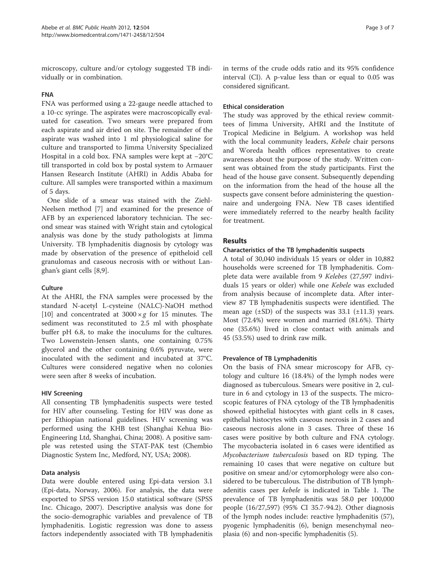microscopy, culture and/or cytology suggested TB individually or in combination.

#### FNA

FNA was performed using a 22-gauge needle attached to a 10-cc syringe. The aspirates were macroscopically evaluated for caseation. Two smears were prepared from each aspirate and air dried on site. The remainder of the aspirate was washed into 1 ml physiological saline for culture and transported to Jimma University Specialized Hospital in a cold box. FNA samples were kept at −20°C till transported in cold box by postal system to Armauer Hansen Research Institute (AHRI) in Addis Ababa for culture. All samples were transported within a maximum of 5 days.

One slide of a smear was stained with the Ziehl-Neelsen method [[7\]](#page-6-0) and examined for the presence of AFB by an experienced laboratory technician. The second smear was stained with Wright stain and cytological analysis was done by the study pathologists at Jimma University. TB lymphadenitis diagnosis by cytology was made by observation of the presence of epitheloid cell granulomas and caseous necrosis with or without Langhan's giant cells [[8](#page-6-0),[9\]](#page-6-0).

#### **Culture**

At the AHRI, the FNA samples were processed by the standard N-acetyl L-cysteine (NALC)-NaOH method [[10\]](#page-6-0) and concentrated at  $3000 \times g$  for 15 minutes. The sediment was reconstituted to 2.5 ml with phosphate buffer pH 6.8, to make the inoculums for the cultures. Two Lowenstein-Jensen slants, one containing 0.75% glycerol and the other containing 0.6% pyruvate, were inoculated with the sediment and incubated at 37°C. Cultures were considered negative when no colonies were seen after 8 weeks of incubation.

#### HIV Screening

All consenting TB lymphadenitis suspects were tested for HIV after counseling. Testing for HIV was done as per Ethiopian national guidelines. HIV screening was performed using the KHB test (Shanghai Kehua Bio-Engineering Ltd, Shanghai, China; 2008). A positive sample was retested using the STAT-PAK test (Chembio Diagnostic System Inc, Medford, NY, USA; 2008).

#### Data analysis

Data were double entered using Epi-data version 3.1 (Epi-data, Norway, 2006). For analysis, the data were exported to SPSS version 15.0 statistical software (SPSS Inc. Chicago, 2007). Descriptive analysis was done for the socio-demographic variables and prevalence of TB lymphadenitis. Logistic regression was done to assess factors independently associated with TB lymphadenitis

in terms of the crude odds ratio and its 95% confidence interval (CI). A p-value less than or equal to 0.05 was considered significant.

#### Ethical consideration

The study was approved by the ethical review committees of Jimma University, AHRI and the Institute of Tropical Medicine in Belgium. A workshop was held with the local community leaders, Kebele chair persons and Woreda health offices representatives to create awareness about the purpose of the study. Written consent was obtained from the study participants. First the head of the house gave consent. Subsequently depending on the information from the head of the house all the suspects gave consent before administering the questionnaire and undergoing FNA. New TB cases identified were immediately referred to the nearby health facility for treatment.

#### Results

#### Characteristics of the TB lymphadenitis suspects

A total of 30,040 individuals 15 years or older in 10,882 households were screened for TB lymphadenitis. Complete data were available from 9 Kelebes (27,597 individuals 15 years or older) while one Kebele was excluded from analysis because of incomplete data. After interview 87 TB lymphadenitis suspects were identified. The mean age  $(\pm SD)$  of the suspects was 33.1  $(\pm 11.3)$  years. Most (72.4%) were women and married (81.6%). Thirty one (35.6%) lived in close contact with animals and 45 (53.5%) used to drink raw milk.

#### Prevalence of TB Lymphadenitis

On the basis of FNA smear microscopy for AFB, cytology and culture 16 (18.4%) of the lymph nodes were diagnosed as tuberculous. Smears were positive in 2, culture in 6 and cytology in 13 of the suspects. The microscopic features of FNA cytology of the TB lymphadenitis showed epithelial histocytes with giant cells in 8 cases, epithelial histocytes with caseous necrosis in 2 cases and caseous necrosis alone in 3 cases. Three of these 16 cases were positive by both culture and FNA cytology. The mycobacteria isolated in 6 cases were identified as Mycobacterium tuberculosis based on RD typing. The remaining 10 cases that were negative on culture but positive on smear and/or cytomorphology were also considered to be tuberculous. The distribution of TB lymphadenitis cases per kebele is indicated in Table [1](#page-3-0). The prevalence of TB lymphadenitis was 58.0 per 100,000 people (16/27,597) (95% CI 35.7-94.2). Other diagnosis of the lymph nodes include: reactive lymphadenitis (57), pyogenic lymphadenitis (6), benign mesenchymal neoplasia (6) and non-specific lymphadenitis (5).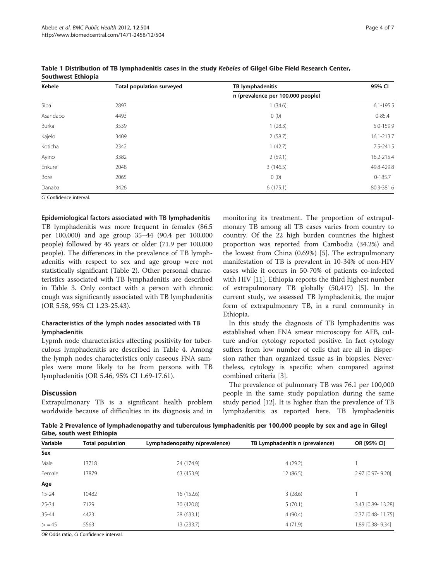| Kebele   | <b>Total population surveyed</b> | TB lymphadenitis                  | 95% CI        |
|----------|----------------------------------|-----------------------------------|---------------|
|          |                                  | n (prevalence per 100,000 people) |               |
| Siba     | 2893                             | (34.6)                            | $6.1 - 195.5$ |
| Asandabo | 4493                             | 0(0)                              | $0 - 85.4$    |
| Burka    | 3539                             | 1(28.3)                           | 5.0-159.9     |
| Kajelo   | 3409                             | 2(58.7)                           | 16.1-213.7    |
| Koticha  | 2342                             | 1(42.7)                           | 7.5-241.5     |
| Ayino    | 3382                             | 2(59.1)                           | 16.2-215.4    |
| Enkure   | 2048                             | 3(146.5)                          | 49.8-429.8    |
| Bore     | 2065                             | 0(0)                              | $0-185.7$     |
| Danaba   | 3426                             | 6(175.1)                          | 80.3-381.6    |

<span id="page-3-0"></span>Table 1 Distribution of TB lymphadenitis cases in the study Kebeles of Gilgel Gibe Field Research Center, Southwest Ethiopia

CI Confidence interval.

Epidemiological factors associated with TB lymphadenitis

TB lymphadenitis was more frequent in females (86.5 per 100,000) and age group 35–44 (90.4 per 100,000 people) followed by 45 years or older (71.9 per 100,000 people). The differences in the prevalence of TB lymphadenitis with respect to sex and age group were not statistically significant (Table 2). Other personal characteristics associated with TB lymphadenitis are described in Table [3](#page-4-0). Only contact with a person with chronic cough was significantly associated with TB lymphadenitis (OR 5.58, 95% CI 1.23-25.43).

## Characteristics of the lymph nodes associated with TB lymphadenitis

Lypmh node characteristics affecting positivity for tuberculous lymphadenitis are described in Table [4.](#page-4-0) Among the lymph nodes characteristics only caseous FNA samples were more likely to be from persons with TB lymphadenitis (OR 5.46, 95% CI 1.69-17.61).

#### **Discussion**

Extrapulmonary TB is a significant health problem worldwide because of difficulties in its diagnosis and in

monitoring its treatment. The proportion of extrapulmonary TB among all TB cases varies from country to country. Of the 22 high burden countries the highest proportion was reported from Cambodia (34.2%) and the lowest from China (0.69%) [[5\]](#page-5-0). The extrapulmonary manifestation of TB is prevalent in 10-34% of non-HIV cases while it occurs in 50-70% of patients co-infected with HIV [\[11\]](#page-6-0). Ethiopia reports the third highest number of extrapulmonary TB globally (50,417) [[5\]](#page-5-0). In the current study, we assessed TB lymphadenitis, the major form of extrapulmonary TB, in a rural community in Ethiopia.

In this study the diagnosis of TB lymphadenitis was established when FNA smear microscopy for AFB, culture and/or cytology reported positive. In fact cytology suffers from low number of cells that are all in dispersion rather than organized tissue as in biopsies. Nevertheless, cytology is specific when compared against combined criteria [\[3\]](#page-5-0).

The prevalence of pulmonary TB was 76.1 per 100,000 people in the same study population during the same study period [[12\]](#page-6-0). It is higher than the prevalence of TB lymphadenitis as reported here. TB lymphadenitis

Table 2 Prevalence of lymphadenopathy and tuberculous lymphadenitis per 100,000 people by sex and age in Gilegl Gibe, south west Ethiopia

| Variable  | <b>Total population</b> | Lymphadenopathy n(prevalence) | TB Lymphadenitis n (prevalence) | OR [95% CI]       |
|-----------|-------------------------|-------------------------------|---------------------------------|-------------------|
| Sex       |                         |                               |                                 |                   |
| Male      | 13718                   | 24 (174.9)                    | 4(29.2)                         |                   |
| Female    | 13879                   | 63 (453.9)                    | 12 (86.5)                       | 2.97 [0.97-9.20]  |
| Age       |                         |                               |                                 |                   |
| $15 - 24$ | 10482                   | 16 (152.6)                    | 3(28.6)                         |                   |
| $25 - 34$ | 7129                    | 30 (420.8)                    | 5(70.1)                         | 3.43 [0.89-13.28] |
| 35-44     | 4423                    | 28 (633.1)                    | 4(90.4)                         | 2.37 [0.48-11.75] |
| > 45      | 5563                    | 13 (233.7)                    | 4(71.9)                         | 1.89 [0.38-9.34]  |

OR Odds ratio, CI Confidence interval.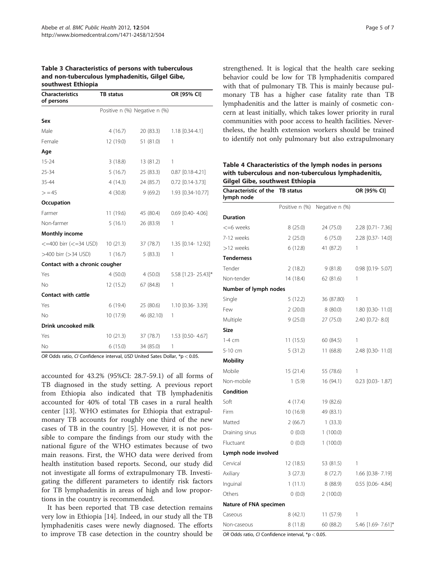#### <span id="page-4-0"></span>Table 3 Characteristics of persons with tuberculous and non-tuberculous lymphadenitis, Gilgel Gibe, southwest Ethiopia

| <b>Characteristics</b><br>of persons         | <b>TB</b> status              |            | OR [95% CI]            |
|----------------------------------------------|-------------------------------|------------|------------------------|
|                                              | Positive n (%) Negative n (%) |            |                        |
| Sex                                          |                               |            |                        |
| Male                                         | 4(16.7)                       | 20 (83.3)  | 1.18 [0.34-4.1]        |
| Female                                       | 12 (19.0)                     | 51 (81.0)  | 1                      |
| Age                                          |                               |            |                        |
| $15 - 24$                                    | 3(18.8)                       | 13 (81.2)  | 1                      |
| 25-34                                        | 5(16.7)                       | 25 (83.3)  | $0.87$ [0.18-4.21]     |
| 35-44                                        | 4(14.3)                       | 24 (85.7)  | $0.72$ $[0.14 - 3.73]$ |
| > 45                                         | 4(30.8)                       | 9(69.2)    | 1.93 [0.34-10.77]      |
| Occupation                                   |                               |            |                        |
| Farmer                                       | 11(19.6)                      | 45 (80.4)  | $0.69$ $[0.40 - 4.06]$ |
| Non-farmer                                   | 5(16.1)                       | 26 (83.9)  | 1                      |
| <b>Monthly income</b>                        |                               |            |                        |
| $\leq$ =400 birr ( $\leq$ =34 USD) 10 (21.3) |                               | 37 (78.7)  | 1.35 [0.14-12.92]      |
| >400 birr (>34 USD)                          | 1(16.7)                       | 5(83.3)    | 1                      |
| Contact with a chronic cougher               |                               |            |                        |
| Yes                                          | 4(50.0)                       | 4 (50.0)   | 5.58 [1.23-25.43]*     |
| No                                           | 12 (15.2)                     | 67 (84.8)  | 1                      |
| <b>Contact with cattle</b>                   |                               |            |                        |
| Yes                                          | 6(19.4)                       | 25 (80.6)  | 1.10 [0.36-3.39]       |
| No                                           | 10(17.9)                      | 46 (82.10) | 1                      |
| Drink uncooked milk                          |                               |            |                        |
| Yes                                          | 10(21.3)                      | 37 (78.7)  | 1.53 [0.50-4.67]       |
| No                                           | 6(15.0)                       | 34 (85.0)  | 1                      |

OR Odds ratio, CI Confidence interval, USD United Sates Dollar, \*p < 0.05.

accounted for 43.2% (95%CI: 28.7-59.1) of all forms of TB diagnosed in the study setting. A previous report from Ethiopia also indicated that TB lymphadenitis accounted for 40% of total TB cases in a rural health center [\[13](#page-6-0)]. WHO estimates for Ethiopia that extrapulmonary TB accounts for roughly one third of the new cases of TB in the country [\[5](#page-5-0)]. However, it is not possible to compare the findings from our study with the national figure of the WHO estimates because of two main reasons. First, the WHO data were derived from health institution based reports. Second, our study did not investigate all forms of extrapulmonary TB. Investigating the different parameters to identify risk factors for TB lymphadenitis in areas of high and low proportions in the country is recommended.

It has been reported that TB case detection remains very low in Ethiopia [[14](#page-6-0)]. Indeed, in our study all the TB lymphadenitis cases were newly diagnosed. The efforts to improve TB case detection in the country should be

strengthened. It is logical that the health care seeking behavior could be low for TB lymphadenitis compared with that of pulmonary TB. This is mainly because pulmonary TB has a higher case fatality rate than TB lymphadenitis and the latter is mainly of cosmetic concern at least initially, which takes lower priority in rural communities with poor access to health facilities. Nevertheless, the health extension workers should be trained to identify not only pulmonary but also extrapulmonary

Table 4 Characteristics of the lymph nodes in persons with tuberculous and non-tuberculous lymphadenitis, Gilgel Gibe, southwest Ethiopia

| Characteristic of the<br>lymph node | <b>TB</b> status |                | OR [95% CI]            |
|-------------------------------------|------------------|----------------|------------------------|
|                                     | Positive n (%)   | Negative n (%) |                        |
| <b>Duration</b>                     |                  |                |                        |
| <=6 weeks                           | 8(25.0)          | 24 (75.0)      | 2.28 [0.71 - 7.36]     |
| 7-12 weeks                          | 2(25.0)          | 6(75.0)        | 2.28 [0.37-14.0]       |
| >12 weeks                           | 6(12.8)          | 41 (87.2)      | 1                      |
| <b>Tenderness</b>                   |                  |                |                        |
| Tender                              | 2(18.2)          | 9(81.8)        | 0.98 [0.19-5.07]       |
| Non-tender                          | 14 (18.4)        | 62 (81.6)      | 1                      |
| Number of lymph nodes               |                  |                |                        |
| Single                              | 5(12.2)          | 36 (87.80)     | 1                      |
| Few                                 | 2(20.0)          | 8(80.0)        | 1.80 [0.30-11.0]       |
| Multiple                            | 9(25.0)          | 27 (75.0)      | 2.40 [0.72-8.0]        |
| Size                                |                  |                |                        |
| $1-4$ cm                            | 11(15.5)         | 60 (84.5)      | 1                      |
| 5-10 cm                             | 5(31.2)          | 11(68.8)       | 2.48 [0.30-11.0]       |
| <b>Mobility</b>                     |                  |                |                        |
| Mobile                              | 15(21.4)         | 55 (78.6)      | 1                      |
| Non-mobile                          | 1(5.9)           | 16 (94.1)      | $0.23$ $[0.03 - 1.87]$ |
| Condition                           |                  |                |                        |
| Soft                                | 4(17.4)          | 19 (82.6)      |                        |
| Firm                                | 10 (16.9)        | 49 (83.1)      |                        |
| Matted                              | 2(66.7)          | 1(33.3)        |                        |
| Draining sinus                      | 0(0.0)           | 1(100.0)       |                        |
| Fluctuant                           | 0(0.0)           | 1(100.0)       |                        |
| Lymph node involved                 |                  |                |                        |
| Cervical                            | 12 (18.5)        | 53 (81.5)      | 1                      |
| Axiliary                            | 3(27.3)          | 8(72.7)        | 1.66 [0.38-7.19]       |
| Inguinal                            | 1(11.1)          | 8 (88.9)       | 0.55 [0.06-4.84]       |
| Others                              | 0(0.0)           | 2(100.0)       |                        |
| Nature of FNA specimen              |                  |                |                        |
| Caseous                             | 8 (42.1)         | 11 (57.9)      | 1                      |
| Non-caseous                         | 8 (11.8)         | 60 (88.2)      | 5.46 [1.69-7.61]*      |

OR Odds ratio, CI Confidence interval, \*p < 0.05.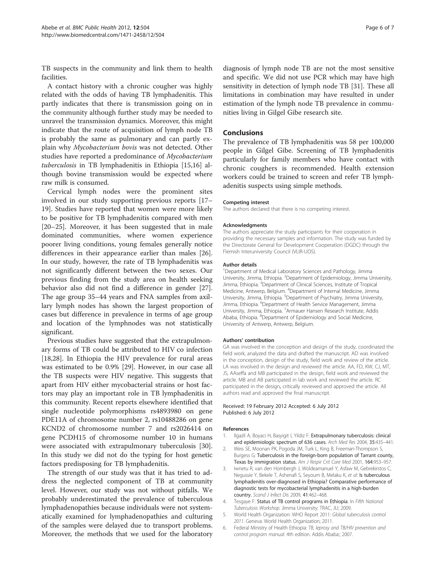<span id="page-5-0"></span>TB suspects in the community and link them to health facilities.

A contact history with a chronic cougher was highly related with the odds of having TB lymphadenitis. This partly indicates that there is transmission going on in the community although further study may be needed to unravel the transmission dynamics. Moreover, this might indicate that the route of acquisition of lymph node TB is probably the same as pulmonary and can partly explain why Mycobacterium bovis was not detected. Other studies have reported a predominance of Mycobacterium tuberculosis in TB lymphadenitis in Ethiopia [\[15,16\]](#page-6-0) although bovine transmission would be expected where raw milk is consumed.

Cervical lymph nodes were the prominent sites involved in our study supporting previous reports [[17](#page-6-0)– [19\]](#page-6-0). Studies have reported that women were more likely to be positive for TB lymphadenitis compared with men [[20](#page-6-0)–[25](#page-6-0)]. Moreover, it has been suggested that in male dominated communities, where women experience poorer living conditions, young females generally notice differences in their appearance earlier than males [\[26](#page-6-0)]. In our study, however, the rate of TB lymphadenitis was not significantly different between the two sexes. Our previous finding from the study area on health seeking behavior also did not find a difference in gender [\[27](#page-6-0)]. The age group 35–44 years and FNA samples from axillary lymph nodes has shown the largest proportion of cases but difference in prevalence in terms of age group and location of the lymphnodes was not statistically significant.

Previous studies have suggested that the extrapulmonary forms of TB could be attributed to HIV co infection [[18,28\]](#page-6-0). In Ethiopia the HIV prevalence for rural areas was estimated to be 0.9% [[29\]](#page-6-0). However, in our case all the TB suspects were HIV negative. This suggests that apart from HIV either mycobacterial strains or host factors may play an important role in TB lymphadenitis in this community. Recent reports elsewhere identified that single nucleotide polymorphisms rs4893980 on gene PDE11A of chromosome number 2, rs10488286 on gene KCND2 of chromosome number 7 and rs2026414 on gene PCDH15 of chromosome number 10 in humans were associated with extrapulmonary tuberculosis [\[30](#page-6-0)]. In this study we did not do the typing for host genetic factors predisposing for TB lymphadenitis.

The strength of our study was that it has tried to address the neglected component of TB at community level. However, our study was not without pitfalls. We probably underestimated the prevalence of tuberculous lymphadenopathies because individuals were not systematically examined for lymphadenopathies and culturing of the samples were delayed due to transport problems. Moreover, the methods that we used for the laboratory

diagnosis of lymph node TB are not the most sensitive and specific. We did not use PCR which may have high sensitivity in detection of lymph node TB [[31\]](#page-6-0). These all limitations in combination may have resulted in under estimation of the lymph node TB prevalence in communities living in Gilgel Gibe research site.

#### Conclusions

The prevalence of TB lymphadenitis was 58 per 100,000 people in Gilgel Gibe. Screening of TB lymphadenitis particularly for family members who have contact with chronic coughers is recommended. Health extension workers could be trained to screen and refer TB lymphadenitis suspects using simple methods.

#### Competing interest

The authors declared that there is no competing interest.

#### Acknowledgments

The authors appreciate the study participants for their cooperation in providing the necessary samples and information. The study was funded by the Directorate General for Development Cooperation (DGDC) through the Flemish Interuniversity Council (VLIR-UOS).

#### Author details

<sup>1</sup>Department of Medical Laboratory Sciences and Pathology, Jimma University, Jimma, Ethiopia. <sup>2</sup>Department of Epidemiology, Jimma University Jimma, Ethiopia. <sup>3</sup>Department of Clinical Sciences, Institute of Tropical Medicine, Antwerp, Belgium. <sup>4</sup>Department of Internal Medicine, Jimma University, Jimma, Ethiopia. <sup>5</sup>Department of Psychiatry, Jimma University Jimma, Ethiopia. <sup>6</sup>Department of Health Service Management, Jimma University, Jimma, Ethiopia. <sup>7</sup> Armauer Hansen Research Institute, Addis Ababa, Ethiopia. <sup>8</sup>Department of Epidemiology and Social Medicine, University of Antwerp, Antwerp, Belgium.

#### Authors' contribution

GA was involved in the conception and design of the study, coordinated the field work, analyzed the data and drafted the manuscript. AD was involved in the conception, design of the study, field work and review of the article. LA was involved in the design and reviewed the article. AA, FD, KW, CJ, MT, JS, AAseffa and MB participated in the design, field work and reviewed the article. MB and AB participated in lab work and reviewed the article. RC participated in the design, critically reviewed and approved the article. All authors read and approved the final manuscript.

#### Received: 19 February 2012 Accepted: 6 July 2012 Published: 6 July 2012

#### References

- 1. Ilgazli A, Boyaci H, Basyigit I, Yildiz F: Extrapulmonary tuberculosis: clinical and epidemiologic spectrum of 636 cases. Arch Med Res 2004, 35:435–441.
- 2. Weis SE, Moonan PK, Pogoda JM, Turk L, King B, Freeman-Thompson S, Burgess G: Tuberculosis in the foreign-born population of Tarrant county, Texas by immigration status. Am J Respir Crit Care Med 2001, 164:953–957.
- 3. Iwnetu R, van den Hombergh J, Woldeamanuel Y, Asfaw M, Gebrekirstos C, Negussie Y, Bekele T, Ashenafi S, Seyoum B, Melaku K, et al: Is tuberculous lymphadenitis over-diagnosed in Ethiopia? Comparative performance of diagnostic tests for mycobacterial lymphadenitis in a high-burden country. Scand J Infect Dis 2009, 41:462–468.
- 4. Tesgaye F: Status of TB control programs in Ethiopia. In Fifth National Tuberculosis Workshop. Jimma University: TRAC, JU; 2009.
- 5. World Health Organization: WHO Report 2011: Global tuberculosis control 2011. Geneva: World Health Organization; 2011.
- 6. Federal Ministry of Health Ethiopia: TB, leprosy and TB/HIV prevention and control program manual. 4th edition. Addis Ababa:; 2007.